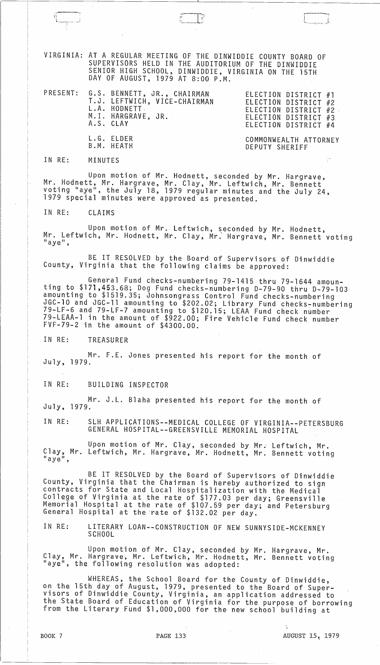VIRGINIA: AT A REGULAR MEETING OF THE DINWIDDIE COUNTY BOARD OF SUPERVISORS HELD IN THE AUDITORIUM OF THE DINWIDDIE SENIOR HIGH SCHOOL, DINWIDDIE, VIRGINIA ON THE 15TH DAY OF AUGUST, 1979 AT 8:00 P.M.

|  | PRESENT: G.S. BENNETT, JR., CHAIRMAN<br>T.J. LEFTWICH, VICE-CHAIRMAN<br>L.A. HODNETT<br>M.I. HARGRAVE, JR.<br>A.S. CLAY | ELECTION DISTRICT #1<br>ELECTION DISTRICT #2<br>ELECTION DISTRICT #2<br>ELECTION DISTRICT #3<br>ELECTION DISTRICT #4 |
|--|-------------------------------------------------------------------------------------------------------------------------|----------------------------------------------------------------------------------------------------------------------|
|  | L.G. ELDER<br>B.M. HEATH                                                                                                | COMMONWEALTH ATTORNEY<br>DEPUTY SHERIFF                                                                              |

IN RE: MINUTES

II'! 1 \_\_\_ .. \_1

Upon motion of Mr. Hodnett, seconded by Mr. Hargrave, Mr. Hodnett, Mr. Hargrave, Mr. Clay, Mr. Leftwich, Mr. Bennett voting "aye", the July 18, 1979 regular minutes and the July 24, 1979 special minutes were approved as presented.

IN RE: CLAIMS

Upon motion of Mr. Leftwich, seconded by Mr. Hodnett, Mr. Leftwich, Mr. Hodnett, Mr. Clay, Mr. Hargrave, Mr. Bennett voting

BE IT RESOLVED by the Board of Supervisors of Dinwiddie County, Virginia that the following claims be approved:

General Fund checks-numbering 79-1415 thru 79-1644 amounting to \$171,453.68; Dog Fund checks-numbering D-79-90 thru D-79-103 amounting to \$1519.35; Johnsongrass Control Fund checks-numbering JGC-10 and JGC-11 amounting to \$202.02; Library Fund checks-numbering 79-LF-6 and 79-LF-7 amounting to \$120.15; LEAA Fund check number 79-LEAA-l in the amount of \$922.00; Fire Vehicle Fund check number FVF-79-2 in the amount of \$4300.00.

IN RE: TREASURER

Mr. F.E. Jones presented his report for the month of July, 1979.

IN RE: BUILDING INSPECTOR

Mr. J.L. Blaha presented his report for the month of July, 1979.

IN RE: SLH APPLICATIONS--MEDICAL COLLEGE OF VIRGINIA--PETERSBURG GENERAL HOSPITAL--GREENSVILLE MEMORIAL HOSPITAL

Upon motion of Mr. Clay, seconded by Mr. Leftwich, Mr. Clay, Mr. Leftwich, Mr. Hargrave, Mr. Hodnett, Mr. Bennett voting<br>"aye",

BE IT RESOLVED by the Board of Supervisors of Dinwiddie County, Virginia that the Chairman is hereby authorized to sign contracts for State and Local Hospitalization with the Medical College of Virginia at the rate of \$177.03 per day; Greensville Memorial Hospital at the rate of \$107.59 per day; and Petersburg General Hospital at the Tate of \$132.02 per day.

IN RE: LITERARY LOAN--CONSTRUCTION OF NEW SUNNYSIDE-MCKENNEY SCHOOL

Upon motion of Mr. Clay, seconded by Mr. Hargrave, Mr. Clay, Mr. Hargrave, Mr. Leftwich, Mr. Hodnett, Mr. Bennett voting<br>"aye", the following resolution was adopted:

WHEREAS, the School Board for the County of Dinwiddie, on the 15th day of August, 1979, presented to the Board of Super- visors of Dinwiddie County, Virginia, an application addressed to the State Board of Education of Virginia for the purpose of borrowing from the Literary Fund \$1,000,000 for the new school building at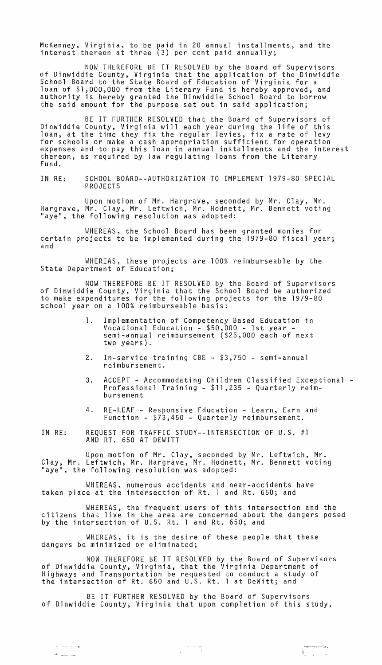McKenney, Virginia, to be paid in 20 annual installments, and the interest thereon at three (3) per cent paid annually;

NOW THEREFORE BE IT RESOLVED by the Board of Supervisors of Dinwiddie County, Virginia that the application of the Dinwiddie School Board to the State Board of Education of Virginia for a loan of \$1,000,000 from the Literary Fund is hereby approved, and authority is hereby granted the Dinwiddie School Board to borrow the said amount for the purpose set out in said application;

BE IT FURTHER RESOLVED that the Board of Supervisors of Dinwiddie County, Virginia will each year during the life of this loan, at the time they fix the regular levies, fix a rate of levy for schools or make a cash appropriation sufficient for operation expenses and to pay this loan in annual installments and the interest thereon, as required by law regulating loans from the Literary Fund.

IN RE: SCHOOL BOARD--AUTHORIZATION TO IMPLEMENT 1979-80 SPECIAL PROJECTS

Upon motion of Mr. Hargrave, seconded by Mr. Clay, Mr. Hargrave, Mr. Clay, Mr. Leftwich, Mr. Hodnett, Mr. Bennett voting "aye", the following resolution was adopted:

WHEREAS, the School Board has been granted monies for certain projects to be implemented during the 1979-80 fiscal year; and

WHEREAS, these projects are 100% reimburseable by the State Department of Education;

NOW THEREFORE BE IT RESOLVED by the Board of Supervisors of Dinwiddie County, Virginia that the School Board be authorized to make expenditures for the following projects for the 1979-80 school year on a 100% reimburseable basis:

- 1. Implementation of Competency Based Education in Vocational Education - \$50,000 - 1st year - semi-annual reimbursement (\$25,000 each of next two years).
- 2. In-service training CBE \$3,750 semi-annual reimbursement.
- 3. ACCEPT Accommodating Children Classified Exceptional Professional Training \$11,235 Quarterly reimbursement
- 4. RE-LEAF Responsive Education Learn, Earn and Function - \$73,450 - Quarterly reimbursement.
- IN RE: REQUEST FOR TRAFFIC STUDY--INTERSECTION OF U.S. #1 AND RT. 650 AT DEWITT

Upon motion of Mr. Clay, seconded by Mr. Leftwich, Mr. Clay, Mr. Leftwich, Mr. Hargrave, Mr. Hodnett, Mr. Bennett voting "aye", the following resolution was adopted:

WHEREAS, numerous accidents and near-accidents have taken place at the intersection of Rt. 1 and Rt. 650; and

WHEREAS, the frequent users of this intersection and the citizens that live in the area are concerned about the dangers posed by the intersection of U.S. Rt. 1 and Rt. 650; and

WHEREAS, it is the desire of these people that these dangers be minimized or eliminated;

NOW THEREFORE BE IT RESOLVED by the Board of Supervisors of Dinwiddie County, Virginia, that the Virginia Department of Highways and Transportation be requested to conduct a study of the intersection of Rt. 650 and U.S. Rt. 1 at DeWitt; and

BE IT FURTHER RESOLVED by the Board of Supervisors of Dinwiddie County, Virginia that upon completion of this study,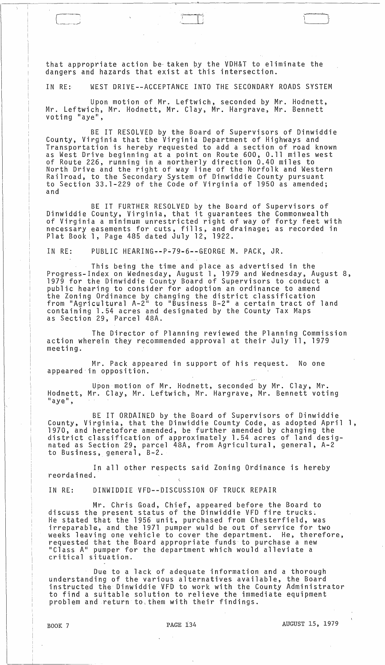that appropriate action be· taken by the VDH&T to eliminate the dangers and hazards that exist at this intersection.

IN RE: WEST DRIVE--ACCEPTANCE INTO THE SECONDARY ROADS SYSTEM

Upon motion of Mr. Leftwich, seconded by Mr. Hodnett, Mr. Leftwich, Mr. Hodnett, Mr. Clay, Mr. Hargrave, Mr. Bennett voting "aye",

BE IT RESOLVED by the Board of Supervisors of Dinwiddie County, Virginia that the Virginia Department of Highways and Transportation is hereby requested to add a section of road known as West Drive beginning at a point on Route 600, 0.11 miles west of Route 226, running in a northerly direction 0.40 miles to North Drive and the right of way line of the Norfolk and Western Railroad, to the Secondary System of Dinwiddie County pursuant to Section 33.1-229 of the Code of Virginia of 1950 as amended; and

BE IT FURTHER RESOLVED by the Board of Supervisors of Dinwiddie County, Virginia, that it guarantees the Commonwealth of Virginia a minimum unrestricted right of way of forty feet with necessary easements for cuts, fills~ and drainage; as recorded in Plat Book 1, Page 485 dated July 12, 1922.

IN RE: PUBLIC HEARING--P-79-6--GEORGE M. PACK, JR.

This being the time and place as advertised in the Progress-Index on Wednesday, August 1, 1979 and Wednesday, August 8, 1979 for the Dinwiddie County Board of Supervisors to conduct a public hearing to consider for adoption an ordinance to amend the Zoning Ordinance by changing the district classification from "Agricultural A-2" to "Business B-2" a certain tract of land containing 1.54 acres and designated by the County Tax Maps as Section 29, Parcel 48A.

The Director of Planning reviewed the Planning Commission action wherein they recommended approval at their July 11, 1979 meeting.

Mr. Pack appeared in support of his request. No one appeared in opposition.

Upon motion of Mr. Hodnett, seconded by Mr. Clay, Mr. Hodnett, Mr. Clay, Mr. Leftwich, Mr. Hargrave, Mr. Bennett voting<br>"aye",

BE IT ORDAINED by the Board of Supervisors of Dinwiddie County, Virginia, that the Dinwiddie County Code, as adopted April 1, 1970, and heretofore amended, be further amended by changing the district classification of approximately 1.54 acres of land desig- nated as Section 29, parcel 48A, from Agricultural, general, A-2 nated as Section 29, parcel 48A, from Agricultural, general, A-2<br>to Business, general, B-2.

In all other respects said Zoning Ordinance is hereby reordained.

IN RE: DINWIDDIE VFD--DISCUSSION OF TRUCK REPAIR

Mr. Chris Goad, Chief, appeared before the Board to discuss the present status of the Dinwiddie VFD fire trucks. He stated that the 1956 unit, purchased from Chesterfield, was irreparable, and the 1971 pumper wuld be out of service for two weeks leaving one vehicle to cover the department. He, therefore, requested that the Board appropriate funds to purchase a new "Class A" pumper for the department which would alleviate a critical situation.

Due to a lack of adequate information and a thorough understanding of the various alternatives available, the Board instructed the Dinwiddie VFD to work with the County Administrator to find a suitable solution to relieve the immediate equipment problem and return to,them with their findings.

 $\Box$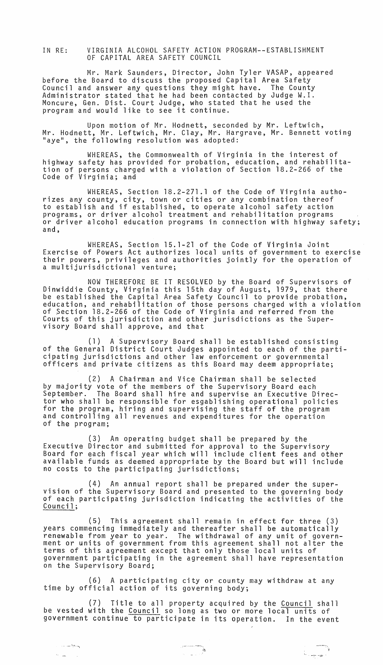IN RE: VIRGINIA ALCOHOL SAFETY ACTION PROGRAM--ESTABLISHMENT OF CAPITAL AREA SAFETY COUNCIL

Mr. Mark Saunders, Director, John Tyler VASAP, appeared before the Board to discuss the proposed Capital Area Safety Council and answer any questions they might have. The County Administrator stated that he had been contacted by Judge W.I. Moncure, Gen. Dist. Court Judge, who stated that he used the program and would like to see it continue.

Upon motion of Mr. Hodnett, seconded by Mr. Leftwich, Mr. Hodnett, Mr. Leftwich, Mr. Clay, Mr. Hargrave, Mr. Bennett voting "aye", the following resolution was adopted:

WHEREAS, the Commonwealth of Virginia in the interest of highway safety has provided for probation, education, and rehabilitation of persons charged with a violation of Section 18.2-266 of the Code of Virginia; and

WHEREAS, Section 18.2-271.1 of the Code of Virginia authorizes any county, city, town or cities or any combination thereof to establish and if established, to operate alcohol safety action programs, or driver alcohol treatment and rehabilitation programs or driver alcohol education programs in connection with highway safety;<br>and,

WHEREAS, Section 15.1-21 of the Code of Virginia Joint Exercise of Powers Act authorizes local units of government to exercise their powers, privileges and authorities jointly for the operation of a multijurisdictional venture;

NOW THEREFORE BE IT RESOLVED by the Board of Supervisors of Dinwiddie County, Virginia this 15th day of August, 1979, that there be established the Capital Area Safety Council to provide probation,<br>education, and rehabilitation of those persons charged with a violation education, and rehabilitation of those persons charged with a violation<br>of Section 18.2-266 of the Code of Virginia and referred from the Courts of this jurisdiction and other jurisdictions as the Super- visory Board shall approve, and that

(1) A Supervisory Board shall be established consisting of the General District Court Judges appointed to each of the participating jurisdictions and other law enforcement or governmental officers and private citizens as this Board may deem appropriate;

(2) A Chairman and Vice Chairman shall be selected by majority vote of the members of the Supervisory Board each September. The Board shall hire and supervise an Executive Director who shall be responsible for esgablishing operational policies for the program, hiring and supervising the staff of the program and controlling all revenues and expenditures for the operation of the program;

(3) An operating budget shall be prepared by the Executive Director and submitted for approval to the Supervisory Board for each fiscal year which will include client fees and other available funds as deemed appropriate by the Board but will include no costs to the participating jurisdictions;

(4) An annual report shall be prepared under the super-<br>vision of the Supervisory Board and presented to the governing body of each participating jurisdiction indicating the activities of the Council;

(5) This agreement shall remain in effect for three (3) years commencing immediately and thereafter shall be automatically renewable from year to year. The withdrawal of any unit of government or units of government from this agreement shall not alter the terms of this agreement except that only those local units of government participating in the agreement shall have representation on the Supervisory Board;

(6) A participating city or county may withdraw at any time by official action of its governing body;

(7) Title to all property acquired by the Council shall be vested with the Council so long as two or more local units of government continue to participate in its operation. In the event

-:- -.~

,

 $\mathcal{H}_{\rm{max}}$  and  $\mathcal{H}_{\rm{max}}$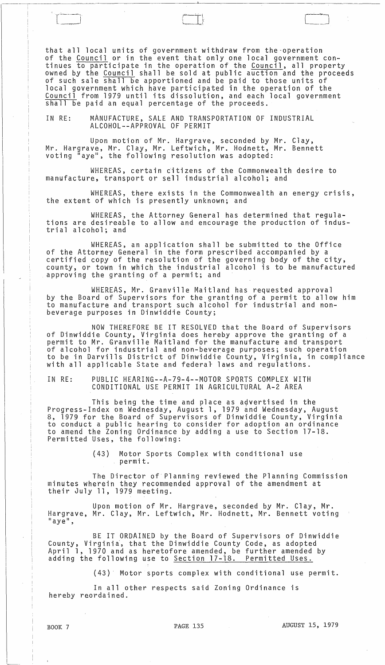that all local units of government withdraw from the-operation of the Council or in the event that only one local government continues to participate in the operation of the Council, all property owned by the Council shall be sold at public auction and the proceeds of such sale shall be apportioned and be paid to those units of local government which have participated in the operation of the Council from 1979 until its dissolution, and each local government shall be paid an equal percentage of the proceeds.

 $\leftarrow$ 

 $\leftarrow$ 

'.

IN RE: MANUFACTURE, SALE AND TRANSPORTATION OF INDUSTRIAL ALCOHOL--APPROVAL OF PERMIT

Upon motion of Mr. Hargrave, seconded by Mr. Clay, Mr. Hargrave, Mr. Clay, Mr. Leftwich, Mr. Hodnett, Mr. Bennett voting "aye", the following resolution was adopted:

WHEREAS, certain titizens of the Commonwealth desire to manufacture, transport or sell industrial alcohol; and

WHEREAS, there exists in the Commonwealth an energy crisis, the extent of which is presently unknown; and

WHEREAS, the Attorney General has determined that regulations are desireab1e to allow and encourage the production of industrial alcohol; and

WHEREAS, an application shall be submitted to the Office of the Attorney General in the form prescribed accompanied by a certified copy of the resolution of the governing body of the city, county, or town in which the industrial alcohol is to be manufactured approving the granting of a permit; and

WHEREAS, Mr. Granville Maitland has requested approval by the Board of Supervisors for the granting of a permit to allow him to manufacture and transport such alcohol for industrial and nonbeverage purposes in Dinwiddie County;

NOW THEREFORE BE IT RESOLVED that the Board of Supervisors of Dinwiddie County, Virginia does hereby approve the granting of a permit to Mr. Granville Maitland for the manufacture and transport of alcohol for industrial and non-beverage purposes; such operation to be in Darvi11s District of Dinwiddie County, Virginia, in compliance with all applicable State and federal laws and regulations.

IN RE: PUBLIC HEARING--A-79-4--MOTOR SPORTS COMPLEX WITH CONDITIONAL USE PERMIT IN AGRICULTURAL A-2 AREA

This being the time and place as advertised in the Progress-Index on Wednesday, August 1, 1979 and Wednesday, August 8, 1979 for the Board of Supervisors of Dinwiddie County, Virginia to conduct a public hearing to consider for adoption an ordinance to amend the Zoning Ordinance by adding a use to Section 17-18. Permitted Uses, the following:

> (43) Motor Sports Complex with conditional use permit.

The Director of Planning reviewed the Planning Commission minutes wherein they recommended approval of the amendment at their July 11, 1979 meeting.

Upon motion of Mr. Hargrave, seconded by Mr. Clay, Mr. Hargrave, Mr. Clay, Mr. Leftwich, Mr. Hodnett, Mr. Bennett voting<br>"aye",

BE IT ORDAINED by the Board of Supervisors of Dinwiddie County, Virginia, that the Dinwiddie County Code, as adopted April 1, 1970 and as heretofore amended, be further amended by adding the following use to <u>Section 17-18. Permitted Uses.</u>

(43)· Motor sports complex with conditional use permit.

In all other respects said Zoning Ordinance is hereby reordained.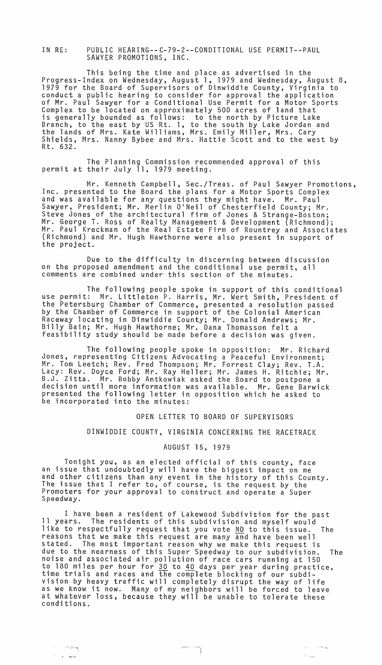IN RE: PUBLIC HEARING--C-79-2--CONDITIONAL USE PERMIT--PAUL SAWYER PROMOTIONS, INC.

This being the time and place as advertised in the Progress-Index on Wednesday, August 1, 1979 and Wednesday, August 8, 1979 for the Board of Supervisors of Dinwiddie County, Virginia to conduct a public hearing to consider for approval the application Complex to be located on approximately 500 acres of land that is generally bounded as follows: to the north by Picture Lake Branch, to the east by US Rt. 1, to the south by Lake Jordan and the lands of Mrs. Kate Williams, Mrs. Emily Miller, Mrs. Cary Shields, Mrs. Nanny Bybee and Mrs. Hattie Scott and to the west by Rt. 632.

The Planning Commission recommended approval of this permit at their July 11, 1979 meeting.

Mr. Kenneth Campbell, Sec./Treas. of Paul Sawyer Promotions, Inc. presented to the Board the plans for a Motor Sports Complex and was available for any questions they might have. Mr. Paul Sawyer, President; Mr. Merlin O'Neil of Chesterfield County; Mr. Steve Jones of the architectural firm of Jones & Strange-Boston; Mr. George T. Ross of Realty Management & Development (Richmond); Mr. Paul Kreckman of the Real Estate Firm of Rountrey and Associates (Richmond) and Mr. Hugh Hawthorne were also present in support of the project.

Due to the difficulty in discerning between discussion on the proposed amendment and the conditional use permit, all comments are combined under this section of the minutes.

The following people spoke in support of this conditional use permit: Mr. Littleton P. Harris, Mr. Wert Smith, President of the Petersburg Chamber of Commerce, presented a resolution passed by the Chamber of Commerce in support of the Colonial American Raceway locating in Dinwiddie County; Mr. Donald Andrews; Mr. Billy Bain; Mr. Hugh Hawthorne; Mr. Dana Thomasson felt a feasibility study should be made before a decision was *given.* 

The following people spoke in opposition: Mr. Richard Jones, representing Citizens Advocating a Peaceful Environment; Mr. Tom Leetch; *Rev.* Fred Thompson; Mr. Forrest Clay; *Rev.* T.A. Lacy: *Rev.* Doyce Ford; Mr. Ray Heller; Mr. James H. Ritchie; Mr. B.J. Zitta. Mr. Bobby Antkowiak asked the Board to postpone a decision until more information was available. Mr. Gene Barwick presented the following letter in opposition which he asked to be incorporated into the minutes:

### OPEN LETTER TO BOARD OF SUPERVISORS

# DINWIDDIE COUNTY, VIRGINIA CONCERNING THE RACETRACK

#### AUGUST 15, 1979

Tonight you, as an elected official of this county, face an issue that undoubtedly will have the biggest impact on me and other citizens than any *event* in the history of this County. The issue that I refer to, of course, is the request by the Promoters for your approval to construct and operate a Super<br>Speedway.

I have been a resident of Lakewood Subdivision for the past 11 years. The residents of this subdivision and myself would like to respectfully request that you *vote* NO to this issue. The reasons that we make this request are many and have been well The most important reason why we make this request is due to the nearness of this Super Speedway to our subdivision. The noise and associated air pollution of race cars running ·at 150 to 180 miles per hour for 30 to 40 days per year during practice, time trials and races and the complete blocking of our subdivision by heavy traffic will completely disrupt the way of life as we know it now. Many of my neighbors will be forced to leave at whatever loss, because they will be unable to tolerate these conditions.

٦

 $\epsilon \sigma = 0.0022$ 

 $\lambda=\sqrt{2\pi}$ 

 $\cdot$ :  $\cdot$   $\cdot$   $\cdot$   $\cdot$ 

 $\lambda_{\rm{max}} = 1$  , where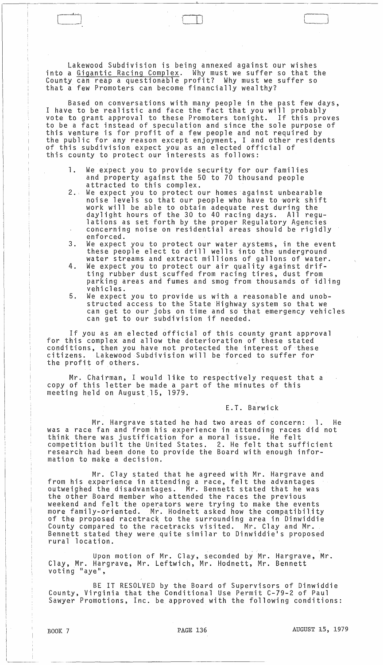Lakewood Subdivision is being annexed against our wishes into a Gigantic Racing Complex. Why must we suffer so that the County can reap a questionable profit? Why must we suffer so that a few Promoters can become financially wealthy?

Based on conversations with many people in the past few days, I have to be realistic and face the fact that you will probably vote to grant approval to these Promoters tonight. If this proves to be a fact instead of speculation and since the sole purpose of this venture is for profit of a few people and not required by the public for any reason except enjoyment, I and other residents of this subdivision expect you as an elected official of this county to protect our interests as follows:

- 1. We expect you to provide security for our families and property against the 50 to 70 thousand people attracted to this complex.
- 2. We expect you to protect our homes against unbearable noise levels so that our people who have to work shift work will be able to obtain adequate rest during the daylight hours of the 30 to 40 racing days. All reguconcerning noise on residential areas should be rigidly enforced.
- 3. We expect you to protect our water aystems, in the event these people elect to drill wells into the underground water streams and extract millions of gallons of water.
- 4. We expect you to protect our air quality against drifting rubber dust scuffed from racing tires, dust from parking areas and fumes and smog from thousands of idling vehicles.
- 5. We expect you to provide us with a reasonable and unobstructed access to the State Highway system so that we can get to our jobs on time and so that emergency vehicles can get to our subdivision if needed.

If you as an elected official of this county grant approval for this complex and allow the deterioration of these stated conditions, then you have not protected the interest of these<br>citizens. Lakewood Subdivision will be forced to suffer for citizens. Lakewood Subdivision will be forced to sUffer for the profit of others.

Mr. Chairman, I would like to respectively request that a copy of this letter be made a part of the minutes of this meeting held on August.15, 1979.

E.T. Barwick

Mr. Hargrave stated he had two areas of concern: 1. He was a race fan and from his experience in attending races did not think there was justification for a moral issue. He felt competition built the United States. 2. He felt that sufficient research had been done to provide the Board with enough information to make a decision.

Mr. Clay stated that he agreed with Mr. Hargrave and from his experience in attending a race, felt the advantages outweighed the disadvantages. Mr. Bennett stated that he was the other Board member who attended the races the previous weekend and felt the operators were trying to make the events more family-oriented. Mr. Hodnett asked how the compatibility of the proposed racetrack to the surrounding area in Dinwiddie County compared to the racetracks visited. Mr. Clay and Mr. Bennett stated they were quite similar to Dinwiddie's proposed rural location.

Upon motion of Mr. Clay, seconded by Mr. Hargrave, Mr. Clay, Mr. Hargrave, Mr. Leftwich, Mr. Hodnett, Mr. Bennett voting "aye",

BE IT RESOLVED by the Board of Supervisors of Dinwiddie County, Virginia that the Conditional Use Permit C-79-2 of Paul Sawyer Promotions, Inc. be approved with the following conditions:

 $\Box$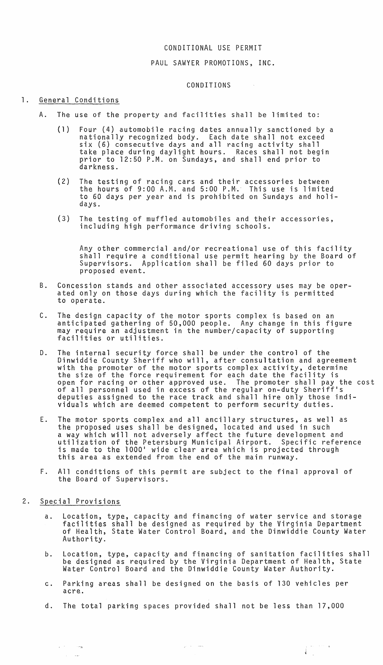## CONDITIONAL USE PERMIT

### PAUL SAWYER PROMOTIONS, INC.

#### CONDITIONS

 $\sim 100$ 

### 1. General Conditions

- A. The use of the property and facilities shall be limited to:
	- (1) Four (4) automobile racing dates annually sanctioned by a nationally recognized body. Each date shall not exceed six (6) consecutive days and all racing activity shall take place during daylight hours. Races shall not begin prior to 12:50 P.M. on Sundays, and shall end prior to darkness.
	- (2) The testing of racing cars and their accessories between the hours of  $9:00$  A.M. and  $5:00$  P.M. This use is limited to 60 days per year and is prohibited on Sundays and holidays.
	- (3) The testing of muffled automobiles and their accessories, including high performance driving schools.

Any other commercial and/or recreational use of this facility shall require a conditional use permit hearing by the Board of Supervisors. Application shall be filed 60 days prior to proposed event.

- B. Concession stands and other associated accessory uses may be operated only on those days during which the facility is permitted to operate.
- C. The design capacity of the motor sports complex is based on an anticipated gathering of 50,000 people. Any change in this figure may require an adjustment in the number/capacity of supporting facilities or utilities.
- D. The internal security force shall be under the control of the Dinwiddie County Sheriff who will, after consultation and agreement<br>with the promoter of the motor sports complex activity, determine the size of the force requirement for each date the facility is open for racing or other approved use. The promoter shall pay the cost of all personnel used in excess of the regular on-duty Sheriff's deputies assigned to the race track and shall hire ohly those individuals which are deemed competent to perform security duties.
- E. The motor sports complex and all ancillary structures, as well as the proposed uses shall be designed, located and used in such a way which will not adversely affect the future development and utilization of the Petersburg Municipal Airport. Specific reference is made to the 1000' wide clear area which is projected through this area as extended from the end of the main runway.
- F. All conditions of this permit are subject to the final approval of the Board of Supervisors.
- 2. Special Provisions

 $\alpha$  , the second  $\alpha$ 

 $\langle \cdot, \cdot \rangle$  , and

- a. Location, type, capacity and financing of water service and storage facilities shall be designed as required by the Virginia Department of Health, State Water Control Board, and the Dinwiddie County Water Authority.
- b. Location, type, capacity and financing of sanitation facilities shall be designed as required by the Virginia Department of Health, State Water Control Board and the Dinwiddie County Water Authority.

 $\int_{\frac{\pi}{2}}^{\frac{\pi}{2}} \frac{dx}{y} dy$ 

- c. Parking areas shall be designed on the basis of 130 vehicles per acre.
- d. The total parking spaces provided shall not be less than 17,000

 $\gamma_2\gamma_1\gamma_2\gamma_3\gamma_4\gamma_5\gamma_6\gamma_7$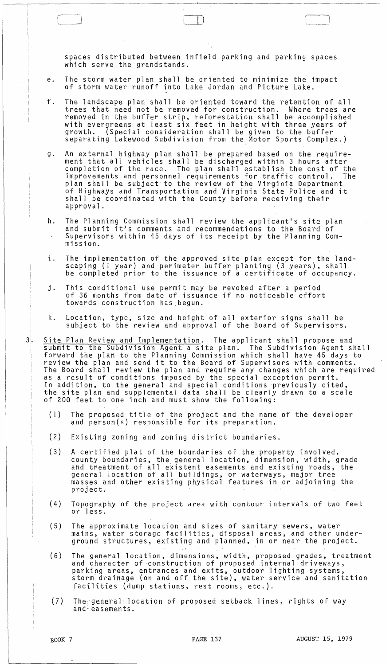spaces distributed between infield parking and parking spaces which serve the grandstands.

e. The storm water plan shall be oriented to minimize the impact of storm water runoff into Lake Jordan and Picture Lake.

 $\Box$ 

- f. The landscape plan shall be oriented toward the retention of all trees that need not be removed for construction. Where trees are removed in the buffer strip, reforestation shall be accomplished with evergreens at least six feet in height with three years of growth. (Special consideration shall be given to the buffer separating Lakewood Subdivision from the Motor Sports Complex.)
- g. An external highway plan shall be prepared based on the requirement that all vehicles shall be discharged within 3 hours after completion of the race. The plan shall establish the cost of the improvements and personnel requirements for traffic control. The plan shall be subject to the review of the Virginia Department of Highways and Transportation and Virginia State Police and it shall be coordinated with the County before receiving their approval.
- h. The Planning Commission shall review the applicant's site plan and submit it's comments and recommendations to the Board of Supervisors within 45 days of its receipt by the Planning Commission.
- i. The implementation of the approved site plan except for the landscaping (1 year) and perimeter buffer planting (3 years), shall be completed prior to the issuance of a certificate of occupancy.
- j. This conditional use permit may be revoked after a period of 36 months from date of issuance if no noticeable effort towards construction has,begun.
- k. Location, type, size and height of all exterior signs shall be subject to the review and approval of the Board of Supervisors.
- 3. <u>Site Plan Review and Implementation</u>. The applicant shall propose and submit to the Subdivision Agent a site plan. The Subdivision Agent shall forward the plan to the Planning Commission which shall have 45 days to review the plan and send it to the Board of Supervisors with comments. The Board shall review the plan and require any changes which are required as a result of conditions imposed by the special exception permit. In addition, to the general and special conditions previously cited, the site plan and supplemental data shall be clearly drawn to a scale of 200 feet to one inch and·must show the following:
	- (1) The proposed title of the project and the name of the developer and person(s) responsible for its preparation.
	- (2) Existing zoning and zoning district boundaries.
	- (3) A certified plat of the boundaries of the property involved, county boundaries, the general location, dimension, width, grade and treatment of all existent easements and existing roads, the general location of all buildings, or waterways, major tree masses and other eXisting physical features in or adjoining the project.
	- (4) Topography of the project area with contour intervals of two feet or less.
	- (5) The approximate location and sizes of sanitary sewers, water mains, water storage facilities, disposal areas, and other underground structures, existing and planned, in or near the project.
	- (6) The general location, dimensions, width, proposed grades, treatment and character of·construction of proposed internal driveways, parking areas, entrances and exits, outdoor lighting systems, storm' drainage (on and off the site), water service and sanitation facilities (dump stations, rest rooms, etc.).
	- (7) The general location of proposed setback lines, rights of way and~easements.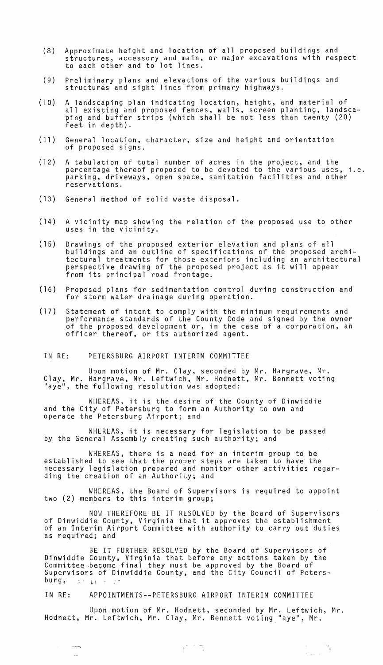- (8) Approximate height and location of all proposed buildings and structures, accessory and main, or major excavations with respect to each other and to lot lines.
- (9) Preliminary plans and elevations of the various buildings and structures and sight lines from primary highways.
- (10) A landscaping plan indicating location, height, and material of all existing and proposed fences, walls, screen planting, landscaping and buffer strips (which shall be not less than twenty (20) feet in depth).
- (11) General location, character, size and height and orientation of proposed signs.
- (12) A tabulation of total number of acres in the project, and the percentage thereof proposed to be devoted to the various uses, i.e. parking, driveways, open space, sanitation facilities and other reservations.
- (13) General method of solid waste disposal.
- (14) A vicinity map showing the relation of the proposed use to other uses in the vicinity.
- (15) Drawings of the proposed exterior elevation and plans of all buildings and an outline of specifications of the proposed architectural treatments for those exteriors including an architectural perspective drawing of the proposed project as it will appear from its principal road frontage.
- (16) Proposed plans for sedimentation control during construction and for storm water drainage during operation.
- (17) Statement of intent to comply with the minimum requirements and performance standards of the County Code and signed by the owner of the proposed development or, in the case of a corporation, an officer thereof, or its authorized agent.
- IN RE: PETERSBURG AIRPORT INTERIM COMMITTEE

Upon motion of Mr. Clay, seconded by Mr. Hargrave, Mr. Clay, Mr. Hargrave, Mr. Leftwich, Mr. Hodnett, Mr. Bennett voting "aye", the following resolution was adopted:

WHEREAS, it is the desire of the County of Dinwiddie and the City of Petersburg to form an Authority to own and operate the Petersburg Airport; and

WHEREAS, it is necessary for legislation to be passed by the General Assembly creating such authority; and

WHEREAS, there is a need for an interim group to be established to see that the proper steps are taken to have the necessary legislation prepared and monitor other activities regarding the creation of an Authority; and

WHEREAS, the Board of Supervisors is required to appoint two (2) members to this interim group;

NOW THEREFORE BE IT RESOLVED by the Board of Supervisors of Dinwiddie County, Virginia that it approves the establishment of an Interim Airport Committee with authority to carry out duties as required; and

BE IT FURTHER RESOLVED by the Board of Supervisors of Dinwiddie County, Virginia that before any actions taken by the Commtttee,beqome·final they must be approved by the Board of Supervisors of Dinwiddie County, and the City Council of Peters  $burg_{\uparrow}$  :  $L$ ;  $\downarrow$ 

IN RE: APPOINTMENTS--PETERSBURG AIRPORT INTERIM COMMITTEE

**Section** 

 $\langle \rangle_{\rm{max}}$ 

Upon motion of Mr. Hodnett, seconded by Mr. Leftwich, Mr. Hodnett, Mr. Leftwich, Mr. Clay, Mr. Bennett voting "aye", Mr.

 $\phi_{\rm max}(\tau)$  .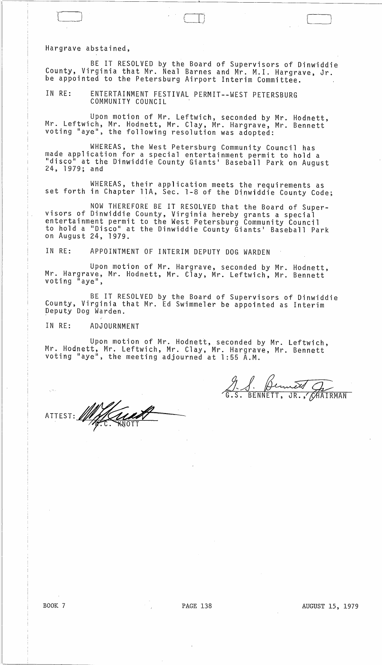Hargrave abstained,

BE IT RESOLVED by the Board of Supervisors of Dinwiddie County, Virginia that Mr. Neal Barnes and Mr. M. I. Hargrave, Jr. be appointed to the Petersburg Airport Interim Committee.

IN RE: ENTERTAINMENT FESTIVAL PERMIT--WEST PETERSBURG COMMUNITY COUNCIL

Upon motion of Mr. Leftwich, seconded by Mr. Hodnett, Mr. Leftwich, Mr. Hodnett, Mr. Clay, Mr. Hargrave, Mr. Bennett voting "aye", the following resolution was adopted:

WHEREAS, the West Petersburg Community Council has made application for a special entertainment permit to hold a "disco" at the Dinwiddie County Giants' Baseball Park on August 24, 1979; and

WHEREAS, their application meets the requirements as set forth in Chapter llA, Sec. 1-8 of the Dinwiddie County Code;

NOW THEREFORE BE IT RESOLVED that the Board of Super- visors of Dinwiddie County, Virginia hereby grants a special entertainment permit to the West Petersburg Community Council to hold a "Disco" at the Dinwiddie County Giants' Baseball Park on August 24, 1979.

IN RE: APPOINTMENT OF INTERIM DEPUTY DOG WARDEN

Upon motion of Mr. Hargrave, seconded by Mr. Hodnett, Mr. Hargrave, Mr. Hodnett, Mr. Clay, Mr. Leftwich, Mr. Bennett voting "aye",

BE IT RESOLVED by the Board of Supervisors of Dinwiddie County, Virginia that Mr. Ed Swimmeler be appointed as Interim peputy Dog Warden.

IN RE: ADJOURNMENT

Upon motion of Mr. Hodnett, seconded by Mr. Leftwich, Mr. Hodnett, Mr. Leftwich, Mr. Clay, Mr. Hargrave, Mr. Bennett voting "aye", the meeting adjourned at 1 :55 A.M.

ATTEST: . William

9. S. Bennett, G.